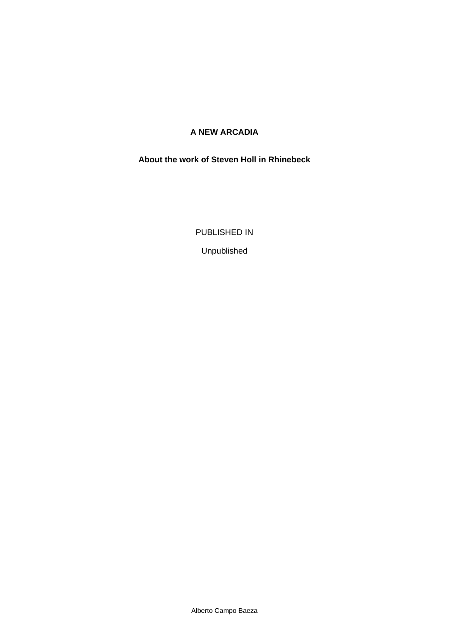# **A NEW ARCADIA**

#### **About the work of Steven Holl in Rhinebeck**

PUBLISHED IN

Unpublished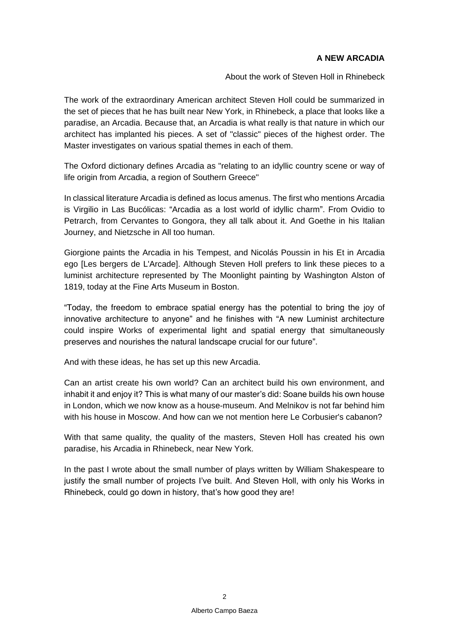### **A NEW ARCADIA**

About the work of Steven Holl in Rhinebeck

The work of the extraordinary American architect Steven Holl could be summarized in the set of pieces that he has built near New York, in Rhinebeck, a place that looks like a paradise, an Arcadia. Because that, an Arcadia is what really is that nature in which our architect has implanted his pieces. A set of "classic" pieces of the highest order. The Master investigates on various spatial themes in each of them.

The Oxford dictionary defines Arcadia as "relating to an idyllic country scene or way of life origin from Arcadia, a region of Southern Greece"

In classical literature Arcadia is defined as *locus amenus*. The first who mentions Arcadia is Virgilio in *Las Bucólicas*: "Arcadia as a lost world of idyllic charm". From Ovidio to Petrarch, from Cervantes to Gongora, they all talk about it. And Goethe in his *Italian Journey*, and Nietzsche in *All too human*.

Giorgione paints the Arcadia in his *Tempest*, and Nicolás Poussin in his *Et in Arcadia ego* [Les bergers de L'Arcade]. Although Steven Holl prefers to link these pieces to a luminist architecture represented by *The Moonlight* painting by Washington Alston of 1819, today at the Fine Arts Museum in Boston.

"Today, the freedom to embrace spatial energy has the potential to bring the joy of innovative architecture to anyone" and he finishes with "A new Luminist architecture could inspire Works of experimental light and spatial energy that simultaneously preserves and nourishes the natural landscape crucial for our future".

And with these ideas, he has set up this new Arcadia.

Can an artist create his own world? Can an architect build his own environment, and inhabit it and enjoy it? This is what many of our master's did: Soane builds his own house in London, which we now know as a house-museum. And Melnikov is not far behind him with his house in Moscow. And how can we not mention here Le Corbusier's cabanon?

With that same quality, the quality of the masters, Steven Holl has created his own paradise, his Arcadia in Rhinebeck, near New York.

In the past I wrote about the small number of plays written by William Shakespeare to justify the small number of projects I've built. And Steven Holl, with only his Works in Rhinebeck, could go down in history, that's how good they are!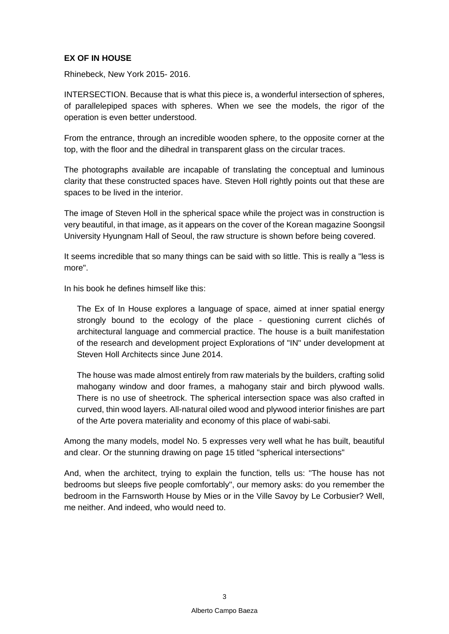### **EX OF IN HOUSE**

Rhinebeck, New York 2015- 2016.

INTERSECTION. Because that is what this piece is, a wonderful intersection of spheres, of parallelepiped spaces with spheres. When we see the models, the rigor of the operation is even better understood.

From the entrance, through an incredible wooden sphere, to the opposite corner at the top, with the floor and the dihedral in transparent glass on the circular traces.

The photographs available are incapable of translating the conceptual and luminous clarity that these constructed spaces have. Steven Holl rightly points out that these are spaces to be lived in the interior.

The image of Steven Holl in the spherical space while the project was in construction is very beautiful, in that image, as it appears on the cover of the Korean magazine *Soongsil University Hyungnam Hall* of Seoul, the raw structure is shown before being covered.

It seems incredible that so many things can be said with so little. This is really a "less is more".

In his book he defines himself like this:

The Ex of In House explores a language of space, aimed at inner spatial energy strongly bound to the ecology of the place - questioning current clichés of architectural language and commercial practice. The house is a built manifestation of the research and development project Explorations of "IN" under development at Steven Holl Architects since June 2014.

The house was made almost entirely from raw materials by the builders, crafting solid mahogany window and door frames, a mahogany stair and birch plywood walls. There is no use of sheetrock. The spherical intersection space was also crafted in curved, thin wood layers. All-natural oiled wood and plywood interior finishes are part of the Arte povera materiality and economy of this place of wabi-sabi.

Among the many models, model No. 5 expresses very well what he has built, beautiful and clear. Or the stunning drawing on page 15 titled "spherical intersections"

And, when the architect, trying to explain the function, tells us: "The house has not bedrooms but sleeps five people comfortably", our memory asks: do you remember the bedroom in the Farnsworth House by Mies or in the Ville Savoy by Le Corbusier? Well, me neither. And indeed, who would need to.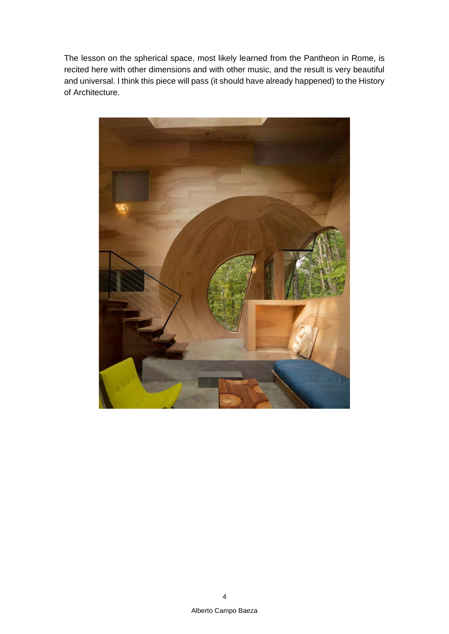The lesson on the spherical space, most likely learned from the Pantheon in Rome, is recited here with other dimensions and with other music, and the result is very beautiful and universal. I think this piece will pass (it should have already happened) to the History of Architecture.

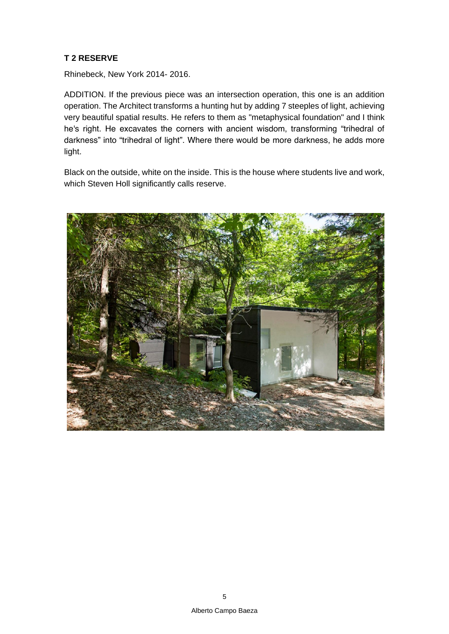# **T 2 RESERVE**

Rhinebeck, New York 2014- 2016.

ADDITION. If the previous piece was an intersection operation, this one is an addition operation. The Architect transforms a hunting hut by adding 7 steeples of light, achieving very beautiful spatial results. He refers to them as "metaphysical foundation" and I think he's right. He excavates the corners with ancient wisdom, transforming "trihedral of darkness" into "trihedral of light". Where there would be more darkness, he adds more light.

Black on the outside, white on the inside. This is the house where students live and work, which Steven Holl significantly calls reserve.

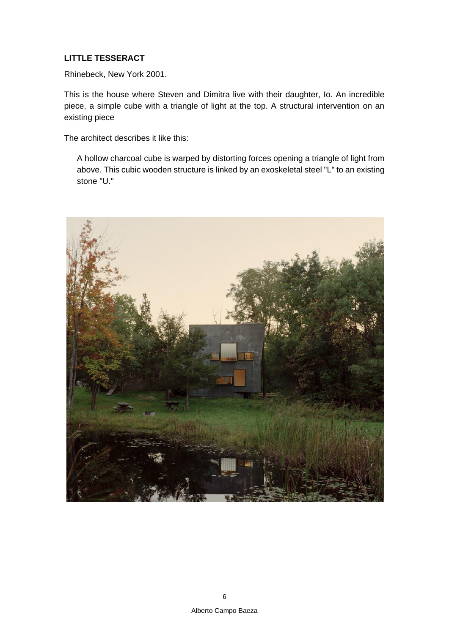# **LITTLE TESSERACT**

Rhinebeck, New York 2001.

This is the house where Steven and Dimitra live with their daughter, Io. An incredible piece, a simple cube with a triangle of light at the top. A structural intervention on an existing piece

The architect describes it like this:

A hollow charcoal cube is warped by distorting forces opening a triangle of light from above. This cubic wooden structure is linked by an exoskeletal steel "L" to an existing stone "U."

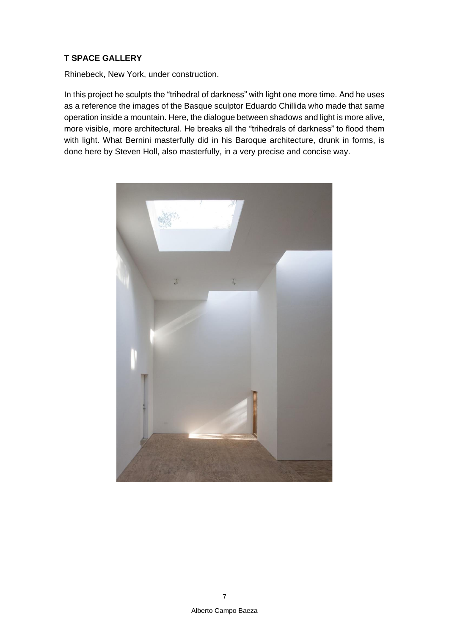#### **T SPACE GALLERY**

Rhinebeck, New York, under construction.

In this project he sculpts the "trihedral of darkness" with light one more time. And he uses as a reference the images of the Basque sculptor Eduardo Chillida who made that same operation inside a mountain. Here, the dialogue between shadows and light is more alive, more visible, more architectural. He breaks all the "trihedrals of darkness" to flood them with light. What Bernini masterfully did in his Baroque architecture, drunk in forms, is done here by Steven Holl, also masterfully, in a very precise and concise way.

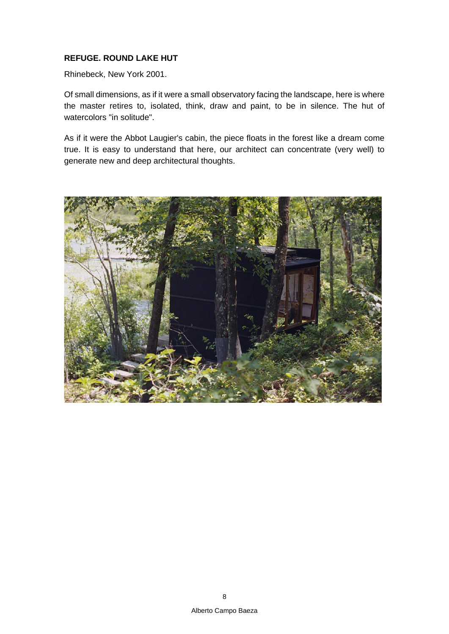#### **REFUGE. ROUND LAKE HUT**

Rhinebeck, New York 2001.

Of small dimensions, as if it were a small observatory facing the landscape, here is where the master retires to, isolated, think, draw and paint, to be in silence. The hut of watercolors "in solitude".

As if it were the Abbot Laugier's cabin, the piece floats in the forest like a dream come true. It is easy to understand that here, our architect can concentrate (very well) to generate new and deep architectural thoughts.

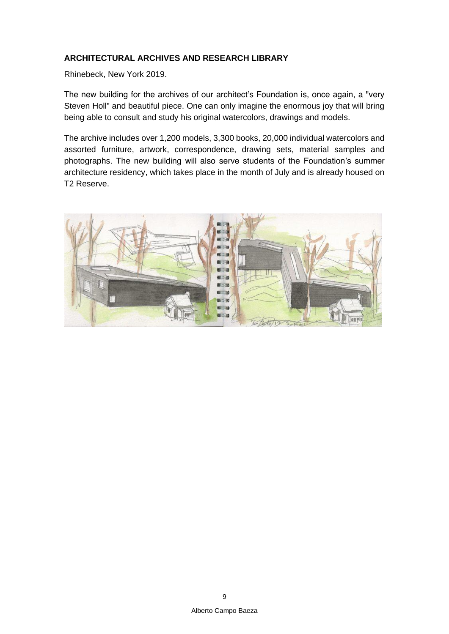# **ARCHITECTURAL ARCHIVES AND RESEARCH LIBRARY**

Rhinebeck, New York 2019.

The new building for the archives of our architect's Foundation is, once again, a "very Steven Holl" and beautiful piece. One can only imagine the enormous joy that will bring being able to consult and study his original watercolors, drawings and models.

The archive includes over 1,200 models, 3,300 books, 20,000 individual watercolors and assorted furniture, artwork, correspondence, drawing sets, material samples and photographs. The new building will also serve students of the Foundation's summer architecture residency, which takes place in the month of July and is already housed on T2 Reserve.